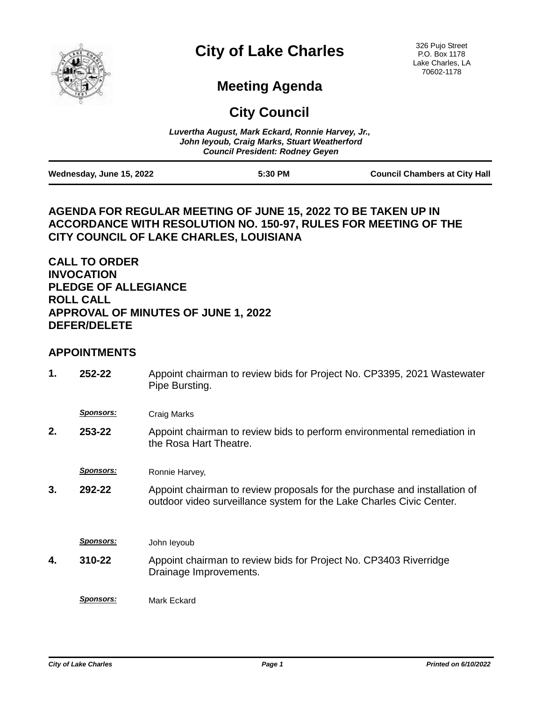

# **City of Lake Charles**

326 Pujo Street P.O. Box 1178 Lake Charles, LA 70602-1178

## **Meeting Agenda**

**City Council**

|                          | Luvertha August, Mark Eckard, Ronnie Harvey, Jr.,<br>John leyoub, Craig Marks, Stuart Weatherford<br><b>Council President: Rodney Geven</b> |                                      |
|--------------------------|---------------------------------------------------------------------------------------------------------------------------------------------|--------------------------------------|
| Wednesday, June 15, 2022 | 5:30 PM                                                                                                                                     | <b>Council Chambers at City Hall</b> |

## **AGENDA FOR REGULAR MEETING OF JUNE 15, 2022 TO BE TAKEN UP IN ACCORDANCE WITH RESOLUTION NO. 150-97, RULES FOR MEETING OF THE CITY COUNCIL OF LAKE CHARLES, LOUISIANA**

## **CALL TO ORDER INVOCATION PLEDGE OF ALLEGIANCE ROLL CALL APPROVAL OF MINUTES OF JUNE 1, 2022 DEFER/DELETE**

### **APPOINTMENTS**

| 1. | 252-22           | Appoint chairman to review bids for Project No. CP3395, 2021 Wastewater<br>Pipe Bursting.                                                         |
|----|------------------|---------------------------------------------------------------------------------------------------------------------------------------------------|
|    | <u>Sponsors:</u> | Craig Marks                                                                                                                                       |
| 2. | 253-22           | Appoint chairman to review bids to perform environmental remediation in<br>the Rosa Hart Theatre.                                                 |
|    | <b>Sponsors:</b> | Ronnie Harvey,                                                                                                                                    |
| 3. | 292-22           | Appoint chairman to review proposals for the purchase and installation of<br>outdoor video surveillance system for the Lake Charles Civic Center. |
|    | <b>Sponsors:</b> | John leyoub                                                                                                                                       |
| 4. | 310-22           | Appoint chairman to review bids for Project No. CP3403 Riverridge<br>Drainage Improvements.                                                       |
|    | <b>Sponsors:</b> | Mark Eckard                                                                                                                                       |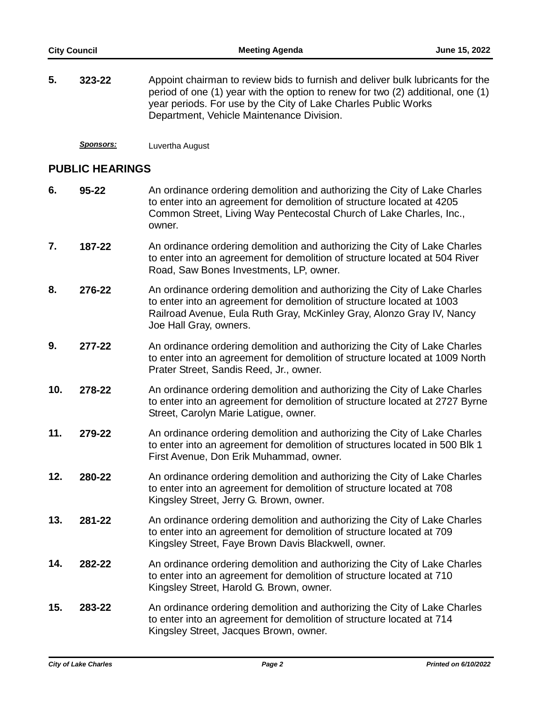| 5. | 323-22 | Appoint chairman to review bids to furnish and deliver bulk lubricants for the        |
|----|--------|---------------------------------------------------------------------------------------|
|    |        | period of one $(1)$ year with the option to renew for two $(2)$ additional, one $(1)$ |
|    |        | year periods. For use by the City of Lake Charles Public Works                        |
|    |        | Department, Vehicle Maintenance Division.                                             |

*Sponsors:* Luvertha August

#### **PUBLIC HEARINGS**

- An ordinance ordering demolition and authorizing the City of Lake Charles to enter into an agreement for demolition of structure located at 4205 Common Street, Living Way Pentecostal Church of Lake Charles, Inc., owner. **6. 95-22**
- An ordinance ordering demolition and authorizing the City of Lake Charles to enter into an agreement for demolition of structure located at 504 River Road, Saw Bones Investments, LP, owner. **7. 187-22**
- An ordinance ordering demolition and authorizing the City of Lake Charles to enter into an agreement for demolition of structure located at 1003 Railroad Avenue, Eula Ruth Gray, McKinley Gray, Alonzo Gray IV, Nancy Joe Hall Gray, owners. **8. 276-22**
- An ordinance ordering demolition and authorizing the City of Lake Charles to enter into an agreement for demolition of structure located at 1009 North Prater Street, Sandis Reed, Jr., owner. **9. 277-22**
- An ordinance ordering demolition and authorizing the City of Lake Charles to enter into an agreement for demolition of structure located at 2727 Byrne Street, Carolyn Marie Latigue, owner. **10. 278-22**
- An ordinance ordering demolition and authorizing the City of Lake Charles to enter into an agreement for demolition of structures located in 500 Blk 1 First Avenue, Don Erik Muhammad, owner. **11. 279-22**
- An ordinance ordering demolition and authorizing the City of Lake Charles to enter into an agreement for demolition of structure located at 708 Kingsley Street, Jerry G. Brown, owner. **12. 280-22**
- An ordinance ordering demolition and authorizing the City of Lake Charles to enter into an agreement for demolition of structure located at 709 Kingsley Street, Faye Brown Davis Blackwell, owner. **13. 281-22**
- An ordinance ordering demolition and authorizing the City of Lake Charles to enter into an agreement for demolition of structure located at 710 Kingsley Street, Harold G. Brown, owner. **14. 282-22**
- An ordinance ordering demolition and authorizing the City of Lake Charles to enter into an agreement for demolition of structure located at 714 Kingsley Street, Jacques Brown, owner. **15. 283-22**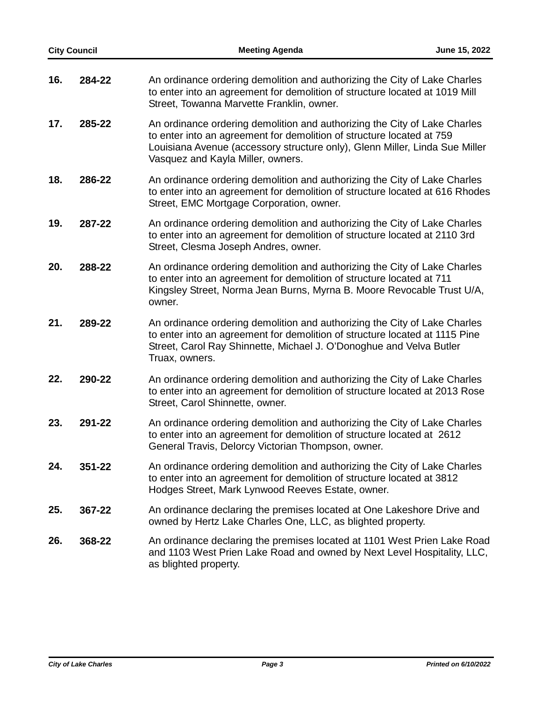|     | <b>City Council</b> | <b>Meeting Agenda</b>                                                                                                                                                                                                                                                  | June 15, 2022 |
|-----|---------------------|------------------------------------------------------------------------------------------------------------------------------------------------------------------------------------------------------------------------------------------------------------------------|---------------|
| 16. | 284-22              | An ordinance ordering demolition and authorizing the City of Lake Charles<br>to enter into an agreement for demolition of structure located at 1019 Mill<br>Street, Towanna Marvette Franklin, owner.                                                                  |               |
| 17. | 285-22              | An ordinance ordering demolition and authorizing the City of Lake Charles<br>to enter into an agreement for demolition of structure located at 759<br>Louisiana Avenue (accessory structure only), Glenn Miller, Linda Sue Miller<br>Vasquez and Kayla Miller, owners. |               |
| 18. | 286-22              | An ordinance ordering demolition and authorizing the City of Lake Charles<br>to enter into an agreement for demolition of structure located at 616 Rhodes<br>Street, EMC Mortgage Corporation, owner.                                                                  |               |
| 19. | 287-22              | An ordinance ordering demolition and authorizing the City of Lake Charles<br>to enter into an agreement for demolition of structure located at 2110 3rd<br>Street, Clesma Joseph Andres, owner.                                                                        |               |
| 20. | 288-22              | An ordinance ordering demolition and authorizing the City of Lake Charles<br>to enter into an agreement for demolition of structure located at 711<br>Kingsley Street, Norma Jean Burns, Myrna B. Moore Revocable Trust U/A,<br>owner.                                 |               |
| 21. | 289-22              | An ordinance ordering demolition and authorizing the City of Lake Charles<br>to enter into an agreement for demolition of structure located at 1115 Pine<br>Street, Carol Ray Shinnette, Michael J. O'Donoghue and Velva Butler<br>Truax, owners.                      |               |
| 22. | 290-22              | An ordinance ordering demolition and authorizing the City of Lake Charles<br>to enter into an agreement for demolition of structure located at 2013 Rose<br>Street, Carol Shinnette, owner.                                                                            |               |
| 23. | 291-22              | An ordinance ordering demolition and authorizing the City of Lake Charles<br>to enter into an agreement for demolition of structure located at 2612<br>General Travis, Delorcy Victorian Thompson, owner.                                                              |               |
| 24. | 351-22              | An ordinance ordering demolition and authorizing the City of Lake Charles<br>to enter into an agreement for demolition of structure located at 3812<br>Hodges Street, Mark Lynwood Reeves Estate, owner.                                                               |               |
| 25. | 367-22              | An ordinance declaring the premises located at One Lakeshore Drive and<br>owned by Hertz Lake Charles One, LLC, as blighted property.                                                                                                                                  |               |
| 26. | 368-22              | An ordinance declaring the premises located at 1101 West Prien Lake Road<br>and 1103 West Prien Lake Road and owned by Next Level Hospitality, LLC,<br>as blighted property.                                                                                           |               |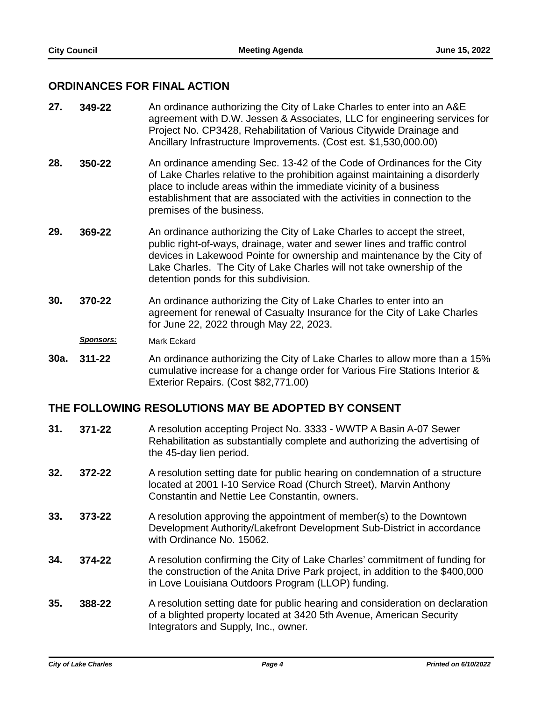#### **ORDINANCES FOR FINAL ACTION**

- An ordinance authorizing the City of Lake Charles to enter into an A&E agreement with D.W. Jessen & Associates, LLC for engineering services for Project No. CP3428, Rehabilitation of Various Citywide Drainage and Ancillary Infrastructure Improvements. (Cost est. \$1,530,000.00) **27. 349-22**
- An ordinance amending Sec. 13-42 of the Code of Ordinances for the City of Lake Charles relative to the prohibition against maintaining a disorderly place to include areas within the immediate vicinity of a business establishment that are associated with the activities in connection to the premises of the business. **28. 350-22**
- An ordinance authorizing the City of Lake Charles to accept the street, public right-of-ways, drainage, water and sewer lines and traffic control devices in Lakewood Pointe for ownership and maintenance by the City of Lake Charles. The City of Lake Charles will not take ownership of the detention ponds for this subdivision. **29. 369-22**
- An ordinance authorizing the City of Lake Charles to enter into an agreement for renewal of Casualty Insurance for the City of Lake Charles for June 22, 2022 through May 22, 2023. **30. 370-22**

*Sponsors:* Mark Eckard

An ordinance authorizing the City of Lake Charles to allow more than a 15% cumulative increase for a change order for Various Fire Stations Interior & Exterior Repairs. (Cost \$82,771.00) **30a. 311-22**

#### **THE FOLLOWING RESOLUTIONS MAY BE ADOPTED BY CONSENT**

- A resolution accepting Project No. 3333 WWTP A Basin A-07 Sewer Rehabilitation as substantially complete and authorizing the advertising of the 45-day lien period. **31. 371-22**
- A resolution setting date for public hearing on condemnation of a structure located at 2001 I-10 Service Road (Church Street), Marvin Anthony Constantin and Nettie Lee Constantin, owners. **32. 372-22**
- A resolution approving the appointment of member(s) to the Downtown Development Authority/Lakefront Development Sub-District in accordance with Ordinance No. 15062. **33. 373-22**
- A resolution confirming the City of Lake Charles' commitment of funding for the construction of the Anita Drive Park project, in addition to the \$400,000 in Love Louisiana Outdoors Program (LLOP) funding. **34. 374-22**
- A resolution setting date for public hearing and consideration on declaration of a blighted property located at 3420 5th Avenue, American Security Integrators and Supply, Inc., owner. **35. 388-22**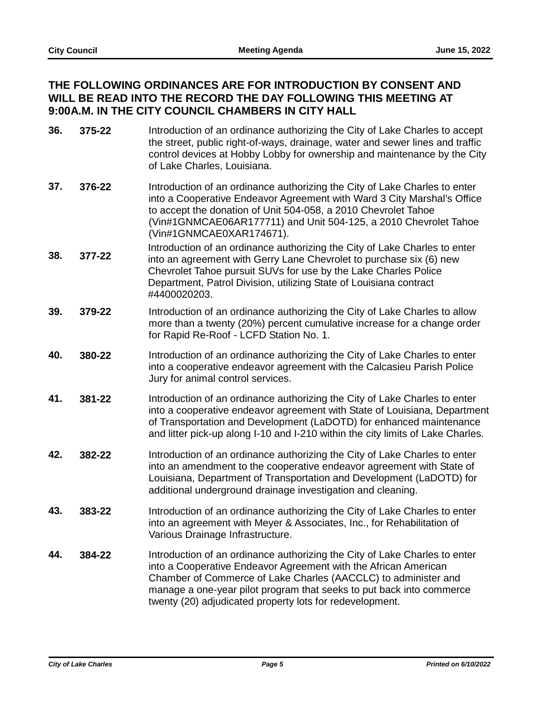## **THE FOLLOWING ORDINANCES ARE FOR INTRODUCTION BY CONSENT AND WILL BE READ INTO THE RECORD THE DAY FOLLOWING THIS MEETING AT 9:00A.M. IN THE CITY COUNCIL CHAMBERS IN CITY HALL**

- Introduction of an ordinance authorizing the City of Lake Charles to accept the street, public right-of-ways, drainage, water and sewer lines and traffic control devices at Hobby Lobby for ownership and maintenance by the City of Lake Charles, Louisiana. **36. 375-22**
- Introduction of an ordinance authorizing the City of Lake Charles to enter into a Cooperative Endeavor Agreement with Ward 3 City Marshal's Office to accept the donation of Unit 504-058, a 2010 Chevrolet Tahoe (Vin#1GNMCAE06AR177711) and Unit 504-125, a 2010 Chevrolet Tahoe (Vin#1GNMCAE0XAR174671). **37. 376-22**
- Introduction of an ordinance authorizing the City of Lake Charles to enter into an agreement with Gerry Lane Chevrolet to purchase six (6) new Chevrolet Tahoe pursuit SUVs for use by the Lake Charles Police Department, Patrol Division, utilizing State of Louisiana contract #4400020203. **38. 377-22**
- Introduction of an ordinance authorizing the City of Lake Charles to allow more than a twenty (20%) percent cumulative increase for a change order for Rapid Re-Roof - LCFD Station No. 1. **39. 379-22**
- Introduction of an ordinance authorizing the City of Lake Charles to enter into a cooperative endeavor agreement with the Calcasieu Parish Police Jury for animal control services. **40. 380-22**
- Introduction of an ordinance authorizing the City of Lake Charles to enter into a cooperative endeavor agreement with State of Louisiana, Department of Transportation and Development (LaDOTD) for enhanced maintenance and litter pick-up along I-10 and I-210 within the city limits of Lake Charles. **41. 381-22**
- Introduction of an ordinance authorizing the City of Lake Charles to enter into an amendment to the cooperative endeavor agreement with State of Louisiana, Department of Transportation and Development (LaDOTD) for additional underground drainage investigation and cleaning. **42. 382-22**
- Introduction of an ordinance authorizing the City of Lake Charles to enter into an agreement with Meyer & Associates, Inc., for Rehabilitation of Various Drainage Infrastructure. **43. 383-22**
- Introduction of an ordinance authorizing the City of Lake Charles to enter into a Cooperative Endeavor Agreement with the African American Chamber of Commerce of Lake Charles (AACCLC) to administer and manage a one-year pilot program that seeks to put back into commerce twenty (20) adjudicated property lots for redevelopment. **44. 384-22**